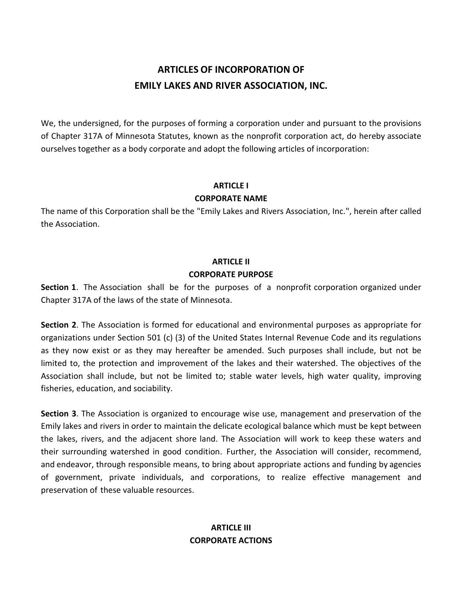## **ARTICLES OF INCORPORATION OF EMILY LAKES AND RIVER ASSOCIATION, INC.**

We, the undersigned, for the purposes of forming a corporation under and pursuant to the provisions of Chapter 317A of Minnesota Statutes, known as the nonprofit corporation act, do hereby associate ourselves together as a body corporate and adopt the following articles of incorporation:

### **ARTICLE I**

### **CORPORATE NAME**

The name of this Corporation shall be the "Emily Lakes and Rivers Association, Inc.", herein after called the Association.

### **ARTICLE II CORPORATE PURPOSE**

**Section 1**. The Association shall be for the purposes of a nonprofit corporation organized under Chapter 317A of the laws of the state of Minnesota.

**Section 2**. The Association is formed for educational and environmental purposes as appropriate for organizations under Section 501 (c) (3) of the United States Internal Revenue Code and its regulations as they now exist or as they may hereafter be amended. Such purposes shall include, but not be limited to, the protection and improvement of the lakes and their watershed. The objectives of the Association shall include, but not be limited to; stable water levels, high water quality, improving fisheries, education, and sociability.

**Section 3**. The Association is organized to encourage wise use, management and preservation of the Emily lakes and rivers in order to maintain the delicate ecological balance which must be kept between the lakes, rivers, and the adjacent shore land. The Association will work to keep these waters and their surrounding watershed in good condition. Further, the Association will consider, recommend, and endeavor, through responsible means, to bring about appropriate actions and funding by agencies of government, private individuals, and corporations, to realize effective management and preservation of these valuable resources.

### **ARTICLE III CORPORATE ACTIONS**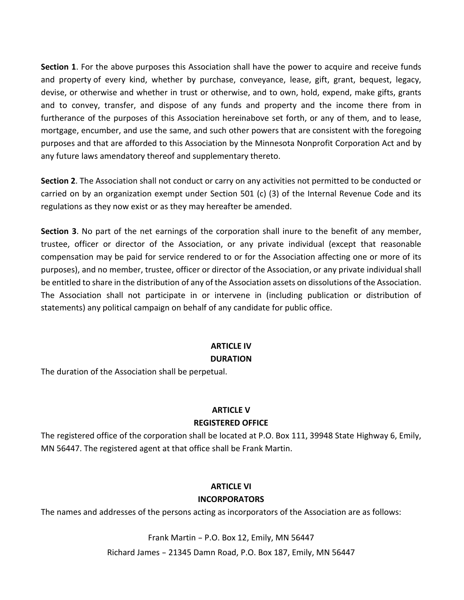**Section 1**. For the above purposes this Association shall have the power to acquire and receive funds and property of every kind, whether by purchase, conveyance, lease, gift, grant, bequest, legacy, devise, or otherwise and whether in trust or otherwise, and to own, hold, expend, make gifts, grants and to convey, transfer, and dispose of any funds and property and the income there from in furtherance of the purposes of this Association hereinabove set forth, or any of them, and to lease, mortgage, encumber, and use the same, and such other powers that are consistent with the foregoing purposes and that are afforded to this Association by the Minnesota Nonprofit Corporation Act and by any future laws amendatory thereof and supplementary thereto.

**Section 2**. The Association shall not conduct or carry on any activities not permitted to be conducted or carried on by an organization exempt under Section 501 (c) (3) of the Internal Revenue Code and its regulations as they now exist or as they may hereafter be amended.

**Section 3**. No part of the net earnings of the corporation shall inure to the benefit of any member, trustee, officer or director of the Association, or any private individual (except that reasonable compensation may be paid for service rendered to or for the Association affecting one or more of its purposes), and no member, trustee, officer or director of the Association, or any private individual shall be entitled to share in the distribution of any of the Association assets on dissolutions of the Association. The Association shall not participate in or intervene in (including publication or distribution of statements) any political campaign on behalf of any candidate for public office.

## **ARTICLE IV**

### **DURATION**

The duration of the Association shall be perpetual.

### **ARTICLE V REGISTERED OFFICE**

The registered office of the corporation shall be located at P.O. Box 111, 39948 State Highway 6, Emily, MN 56447. The registered agent at that office shall be Frank Martin.

### **ARTICLE VI INCORPORATORS**

The names and addresses of the persons acting as incorporators of the Association are as follows:

Frank Martin - P.O. Box 12, Emily, MN 56447 Richard James - 21345 Damn Road, P.O. Box 187, Emily, MN 56447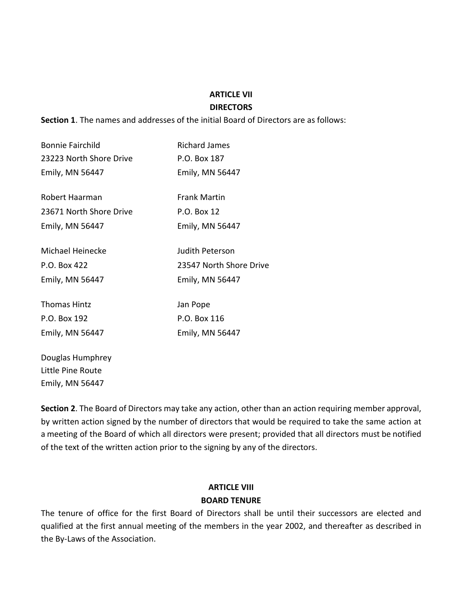#### **ARTICLE VII**

#### **DIRECTORS**

**Section 1**. The names and addresses of the initial Board of Directors are as follows:

| Bonnie Fairchild        | <b>Richard James</b>    |
|-------------------------|-------------------------|
| 23223 North Shore Drive | P.O. Box 187            |
| Emily, MN 56447         | Emily, MN 56447         |
| Robert Haarman          | <b>Frank Martin</b>     |
| 23671 North Shore Drive | P.O. Box 12             |
| Emily, MN 56447         | Emily, MN 56447         |
| Michael Heinecke        | Judith Peterson         |
| P.O. Box 422            | 23547 North Shore Drive |
| Emily, MN 56447         | Emily, MN 56447         |
| <b>Thomas Hintz</b>     | Jan Pope                |
| P.O. Box 192            | P.O. Box 116            |
| Emily, MN 56447         | Emily, MN 56447         |

Douglas Humphrey Little Pine Route Emily, MN 56447

**Section 2**. The Board of Directors may take any action, other than an action requiring member approval, by written action signed by the number of directors that would be required to take the same action at a meeting of the Board of which all directors were present; provided that all directors must be notified of the text of the written action prior to the signing by any of the directors.

### **ARTICLE VIII BOARD TENURE**

The tenure of office for the first Board of Directors shall be until their successors are elected and qualified at the first annual meeting of the members in the year 2002, and thereafter as described in the By-Laws of the Association.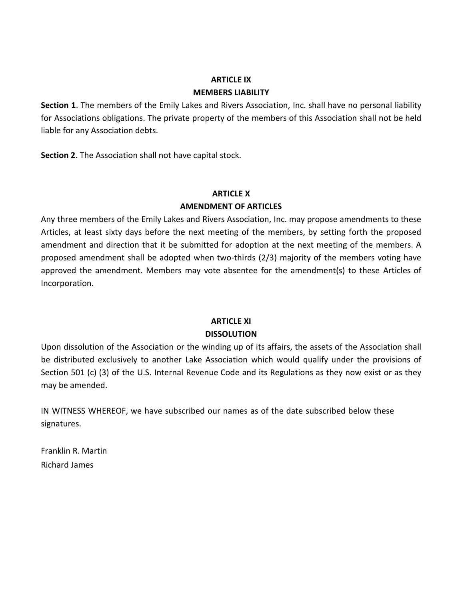## **ARTICLE IX**

#### **MEMBERS LIABILITY**

**Section 1**. The members of the Emily Lakes and Rivers Association, Inc. shall have no personal liability for Associations obligations. The private property of the members of this Association shall not be held liable for any Association debts.

**Section 2**. The Association shall not have capital stock.

### **ARTICLE X**

### **AMENDMENT OF ARTICLES**

Any three members of the Emily Lakes and Rivers Association, Inc. may propose amendments to these Articles, at least sixty days before the next meeting of the members, by setting forth the proposed amendment and direction that it be submitted for adoption at the next meeting of the members. A proposed amendment shall be adopted when two-thirds (2/3) majority of the members voting have approved the amendment. Members may vote absentee for the amendment(s) to these Articles of Incorporation.

### **ARTICLE XI DISSOLUTION**

Upon dissolution of the Association or the winding up of its affairs, the assets of the Association shall be distributed exclusively to another Lake Association which would qualify under the provisions of Section 501 (c) (3) of the U.S. Internal Revenue Code and its Regulations as they now exist or as they may be amended.

IN WITNESS WHEREOF, we have subscribed our names as of the date subscribed below these signatures.

Franklin R. Martin Richard James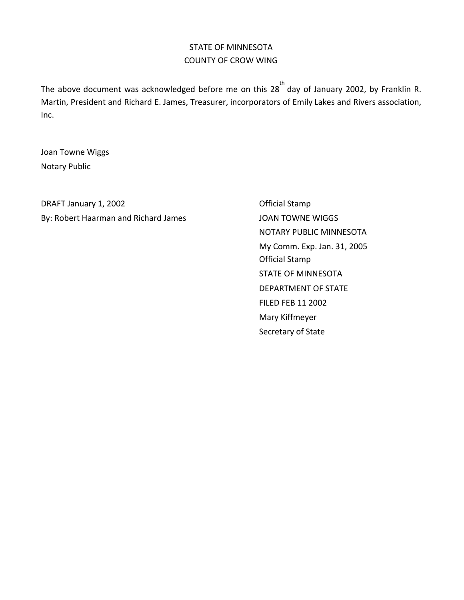### STATE OF MINNESOTA COUNTY OF CROW WING

The above document was acknowledged before me on this 28 $^{th}$  day of January 2002, by Franklin R. Martin, President and Richard E. James, Treasurer, incorporators of Emily Lakes and Rivers association, Inc.

Joan Towne Wiggs Notary Public

DRAFT January 1, 2002 **DRAFT January 1, 2002** By: Robert Haarman and Richard James JOAN TOWNE WIGGS

NOTARY PUBLIC MINNESOTA My Comm. Exp. Jan. 31, 2005 Official Stamp STATE OF MINNESOTA DEPARTMENT OF STATE FILED FEB 11 2002 Mary Kiffmeyer Secretary of State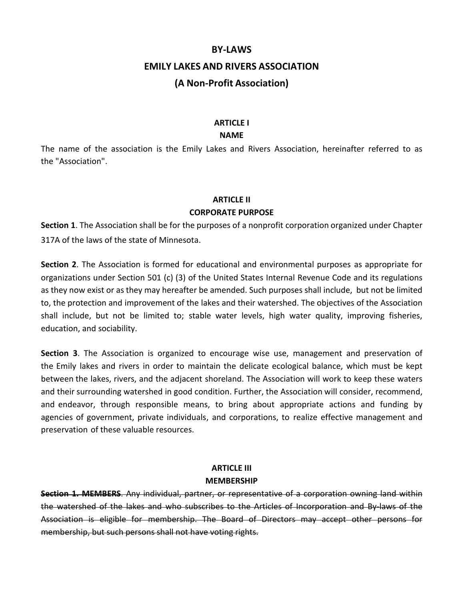#### **BY-LAWS**

### **EMILY LAKES AND RIVERS ASSOCIATION**

### **(A Non-Profit Association)**

#### **ARTICLE I**

#### **NAME**

The name of the association is the Emily Lakes and Rivers Association, hereinafter referred to as the "Association".

### **ARTICLE II CORPORATE PURPOSE**

**Section 1**. The Association shall be for the purposes of a nonprofit corporation organized under Chapter 317A of the laws of the state of Minnesota.

**Section 2**. The Association is formed for educational and environmental purposes as appropriate for organizations under Section 501 (c) (3) of the United States Internal Revenue Code and its regulations as they now exist or as they may hereafter be amended. Such purposes shall include, but not be limited to, the protection and improvement of the lakes and their watershed. The objectives of the Association shall include, but not be limited to; stable water levels, high water quality, improving fisheries, education, and sociability.

**Section 3**. The Association is organized to encourage wise use, management and preservation of the Emily lakes and rivers in order to maintain the delicate ecological balance, which must be kept between the lakes, rivers, and the adjacent shoreland. The Association will work to keep these waters and their surrounding watershed in good condition. Further, the Association will consider, recommend, and endeavor, through responsible means, to bring about appropriate actions and funding by agencies of government, private individuals, and corporations, to realize effective management and preservation of these valuable resources.

### **ARTICLE III MEMBERSHIP**

**Section 1. MEMBERS**. Any individual, partner, or representative of a corporation owning land within the watershed of the lakes and who subscribes to the Articles of Incorporation and By-laws of the Association is eligible for membership. The Board of Directors may accept other persons for membership, but such persons shall not have voting rights.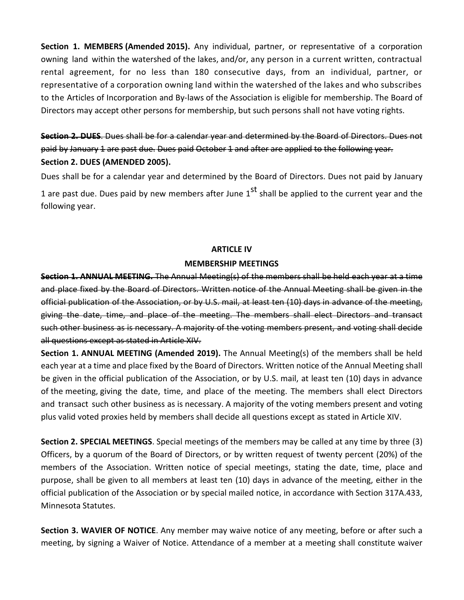**Section 1. MEMBERS (Amended 2015).** Any individual, partner, or representative of a corporation owning land within the watershed of the lakes, and/or, any person in a current written, contractual rental agreement, for no less than 180 consecutive days, from an individual, partner, or representative of a corporation owning land within the watershed of the lakes and who subscribes to the Articles of Incorporation and By-laws of the Association is eligible for membership. The Board of Directors may accept other persons for membership, but such persons shall not have voting rights.

### **Section 2. DUES**. Dues shall be for a calendar year and determined by the Board of Directors. Dues not paid by January 1 are past due. Dues paid October 1 and after are applied to the following year. **Section 2. DUES (AMENDED 2005).**

Dues shall be for a calendar year and determined by the Board of Directors. Dues not paid by January 1 are past due. Dues paid by new members after June  $1^\text{st}$  shall be applied to the current year and the following year.

#### **ARTICLE IV**

### **MEMBERSHIP MEETINGS**

**Section 1. ANNUAL MEETING.** The Annual Meeting(s) of the members shall be held each year at a time and place fixed by the Board of Directors. Written notice of the Annual Meeting shall be given in the official publication of the Association, or by U.S. mail, at least ten (10) days in advance of the meeting, giving the date, time, and place of the meeting. The members shall elect Directors and transact such other business as is necessary. A majority of the voting members present, and voting shall decide all questions except as stated in Article XIV.

**Section 1. ANNUAL MEETING (Amended 2019).** The Annual Meeting(s) of the members shall be held each year at a time and place fixed by the Board of Directors. Written notice of the Annual Meeting shall be given in the official publication of the Association, or by U.S. mail, at least ten (10) days in advance of the meeting, giving the date, time, and place of the meeting. The members shall elect Directors and transact such other business as is necessary. A majority of the voting members present and voting plus valid voted proxies held by members shall decide all questions except as stated in Article XIV.

**Section 2. SPECIAL MEETINGS**. Special meetings of the members may be called at any time by three (3) Officers, by a quorum of the Board of Directors, or by written request of twenty percent (20%) of the members of the Association. Written notice of special meetings, stating the date, time, place and purpose, shall be given to all members at least ten (10) days in advance of the meeting, either in the official publication of the Association or by special mailed notice, in accordance with Section 317A.433, Minnesota Statutes.

**Section 3. WAVIER OF NOTICE**. Any member may waive notice of any meeting, before or after such a meeting, by signing a Waiver of Notice. Attendance of a member at a meeting shall constitute waiver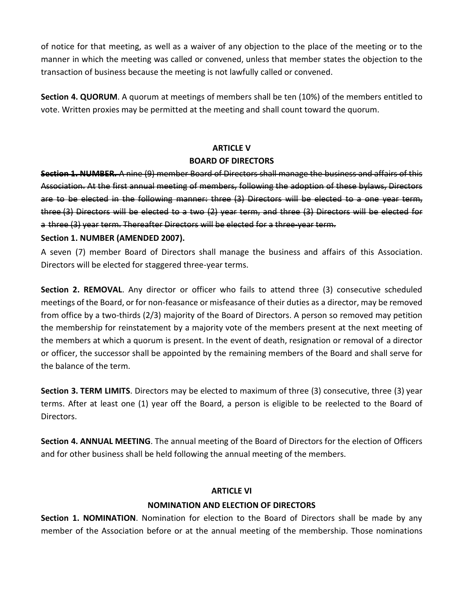of notice for that meeting, as well as a waiver of any objection to the place of the meeting or to the manner in which the meeting was called or convened, unless that member states the objection to the transaction of business because the meeting is not lawfully called or convened.

**Section 4. QUORUM**. A quorum at meetings of members shall be ten (10%) of the members entitled to vote. Written proxies may be permitted at the meeting and shall count toward the quorum.

### **ARTICLE V**

### **BOARD OF DIRECTORS**

**Section 1. NUMBER.** A nine (9) member Board of Directors shall manage the business and affairs of this Association. At the first annual meeting of members, following the adoption of these bylaws, Directors are to be elected in the following manner: three (3) Directors will be elected to a one year term, three (3) Directors will be elected to a two (2) year term, and three (3) Directors will be elected for a three (3) year term. Thereafter Directors will be elected for a three-year term.

### **Section 1. NUMBER (AMENDED 2007).**

A seven (7) member Board of Directors shall manage the business and affairs of this Association. Directors will be elected for staggered three-year terms.

**Section 2. REMOVAL**. Any director or officer who fails to attend three (3) consecutive scheduled meetings of the Board, or for non-feasance or misfeasance of their duties as a director, may be removed from office by a two-thirds (2/3) majority of the Board of Directors. A person so removed may petition the membership for reinstatement by a majority vote of the members present at the next meeting of the members at which a quorum is present. In the event of death, resignation or removal of a director or officer, the successor shall be appointed by the remaining members of the Board and shall serve for the balance of the term.

**Section 3. TERM LIMITS**. Directors may be elected to maximum of three (3) consecutive, three (3) year terms. After at least one (1) year off the Board, a person is eligible to be reelected to the Board of Directors.

**Section 4. ANNUAL MEETING**. The annual meeting of the Board of Directors for the election of Officers and for other business shall be held following the annual meeting of the members.

### **ARTICLE VI**

### **NOMINATION AND ELECTION OF DIRECTORS**

**Section 1. NOMINATION**. Nomination for election to the Board of Directors shall be made by any member of the Association before or at the annual meeting of the membership. Those nominations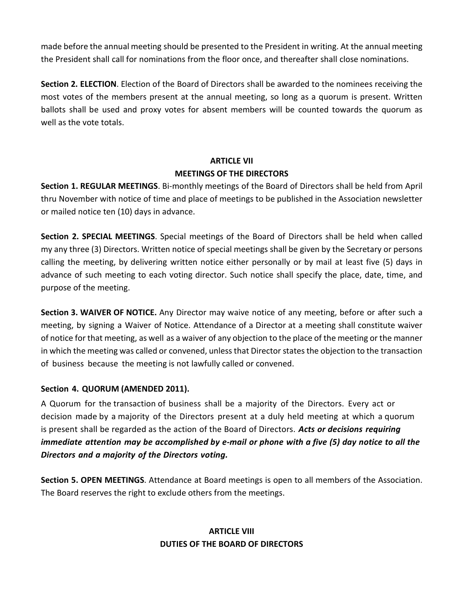made before the annual meeting should be presented to the President in writing. At the annual meeting the President shall call for nominations from the floor once, and thereafter shall close nominations.

**Section 2. ELECTION**. Election of the Board of Directors shall be awarded to the nominees receiving the most votes of the members present at the annual meeting, so long as a quorum is present. Written ballots shall be used and proxy votes for absent members will be counted towards the quorum as well as the vote totals.

## **ARTICLE VII MEETINGS OF THE DIRECTORS**

**Section 1. REGULAR MEETINGS**. Bi-monthly meetings of the Board of Directors shall be held from April thru November with notice of time and place of meetings to be published in the Association newsletter or mailed notice ten (10) days in advance.

**Section 2. SPECIAL MEETINGS**. Special meetings of the Board of Directors shall be held when called my any three (3) Directors. Written notice of special meetings shall be given by the Secretary or persons calling the meeting, by delivering written notice either personally or by mail at least five (5) days in advance of such meeting to each voting director. Such notice shall specify the place, date, time, and purpose of the meeting.

**Section 3. WAIVER OF NOTICE.** Any Director may waive notice of any meeting, before or after such a meeting, by signing a Waiver of Notice. Attendance of a Director at a meeting shall constitute waiver of notice for that meeting, as well as a waiver of any objection to the place of the meeting or the manner in which the meeting was called or convened, unlessthat Director states the objection to the transaction of business because the meeting is not lawfully called or convened.

### **Section 4. QUORUM (AMENDED 2011).**

A Quorum for the transaction of business shall be a majority of the Directors. Every act or decision made by a majority of the Directors present at a duly held meeting at which a quorum is present shall be regarded as the action of the Board of Directors. *Acts or decisions requiring immediate attention may be accomplished by e-mail or phone with a five (5) day notice to all the Directors and a majority of the Directors voting.*

**Section 5. OPEN MEETINGS**. Attendance at Board meetings is open to all members of the Association. The Board reserves the right to exclude others from the meetings.

### **ARTICLE VIII DUTIES OF THE BOARD OF DIRECTORS**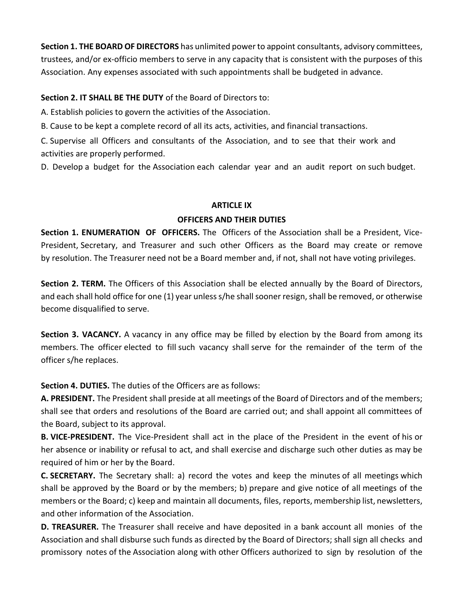**Section 1. THE BOARD OF DIRECTORS** has unlimited power to appoint consultants, advisory committees, trustees, and/or ex-officio members to serve in any capacity that is consistent with the purposes of this Association. Any expenses associated with such appointments shall be budgeted in advance.

### **Section 2. IT SHALL BE THE DUTY** of the Board of Directors to:

A. Establish policies to govern the activities of the Association.

B. Cause to be kept a complete record of all its acts, activities, and financial transactions.

C. Supervise all Officers and consultants of the Association, and to see that their work and activities are properly performed.

D. Develop a budget for the Association each calendar year and an audit report on such budget.

#### **ARTICLE IX**

#### **OFFICERS AND THEIR DUTIES**

**Section 1. ENUMERATION OF OFFICERS.** The Officers of the Association shall be a President, Vice-President, Secretary, and Treasurer and such other Officers as the Board may create or remove by resolution. The Treasurer need not be a Board member and, if not, shall not have voting privileges.

**Section 2. TERM.** The Officers of this Association shall be elected annually by the Board of Directors, and each shall hold office for one (1) year unless s/he shall sooner resign, shall be removed, or otherwise become disqualified to serve.

**Section 3. VACANCY.** A vacancy in any office may be filled by election by the Board from among its members. The officer elected to fill such vacancy shall serve for the remainder of the term of the officer s/he replaces.

**Section 4. DUTIES.** The duties of the Officers are as follows:

**A. PRESIDENT.** The President shall preside at all meetings of the Board of Directors and of the members; shall see that orders and resolutions of the Board are carried out; and shall appoint all committees of the Board, subject to its approval.

**B. VICE-PRESIDENT.** The Vice-President shall act in the place of the President in the event of his or her absence or inability or refusal to act, and shall exercise and discharge such other duties as may be required of him or her by the Board.

**C. SECRETARY.** The Secretary shall: a) record the votes and keep the minutes of all meetings which shall be approved by the Board or by the members; b) prepare and give notice of all meetings of the members or the Board; c) keep and maintain all documents, files, reports, membership list, newsletters, and other information of the Association.

**D. TREASURER.** The Treasurer shall receive and have deposited in a bank account all monies of the Association and shall disburse such funds as directed by the Board of Directors; shall sign all checks and promissory notes of the Association along with other Officers authorized to sign by resolution of the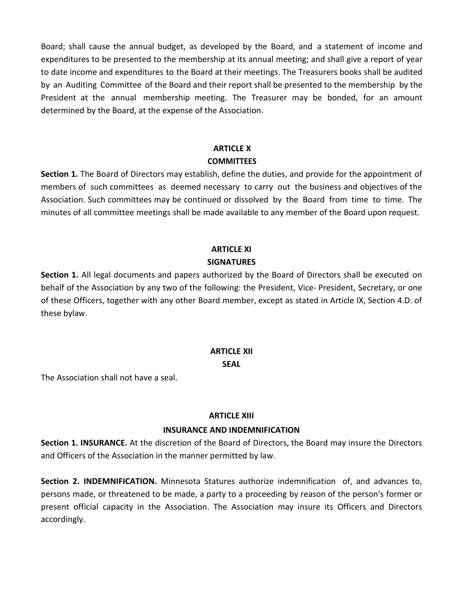Board; shall cause the annual budget, as developed by the Board, and a statement of income and expenditures to be presented to the membership at its annual meeting; and shall give a report of year to date income and expenditures to the Board at their meetings. The Treasurers books shall be audited by an Auditing Committee of the Board and their report shall be presented to the membership by the President at the annual membership meeting. The Treasurer may be bonded, for an amount determined by the Board, at the expense of the Association.

#### **ARTICLE X**

#### **COMMITTEES**

**Section 1.** The Board of Directors may establish, define the duties, and provide for the appointment of members of such committees as deemed necessary to carry out the business and objectives of the Association. Such committees may be continued or dissolved by the Board from time to time. The minutes of all committee meetings shall be made available to any member of the Board upon request.

### **ARTICLE XI SIGNATURES**

**Section 1.** All legal documents and papers authorized by the Board of Directors shall be executed on behalf of the Association by any two of the following: the President, Vice- President, Secretary, or one of these Officers, together with any other Board member, except as stated in Article IX, Section 4.D. of these bylaw.

# **ARTICLE XII**

**SEAL**

The Association shall not have a seal.

### **ARTICLE XIII**

### **INSURANCE AND INDEMNIFICATION**

**Section 1. INSURANCE.** At the discretion of the Board of Directors, the Board may insure the Directors and Officers of the Association in the manner permitted by law.

**Section 2. INDEMNIFICATION.** Minnesota Statures authorize indemnification of, and advances to, persons made, or threatened to be made, a party to a proceeding by reason of the person's former or present official capacity in the Association. The Association may insure its Officers and Directors accordingly.